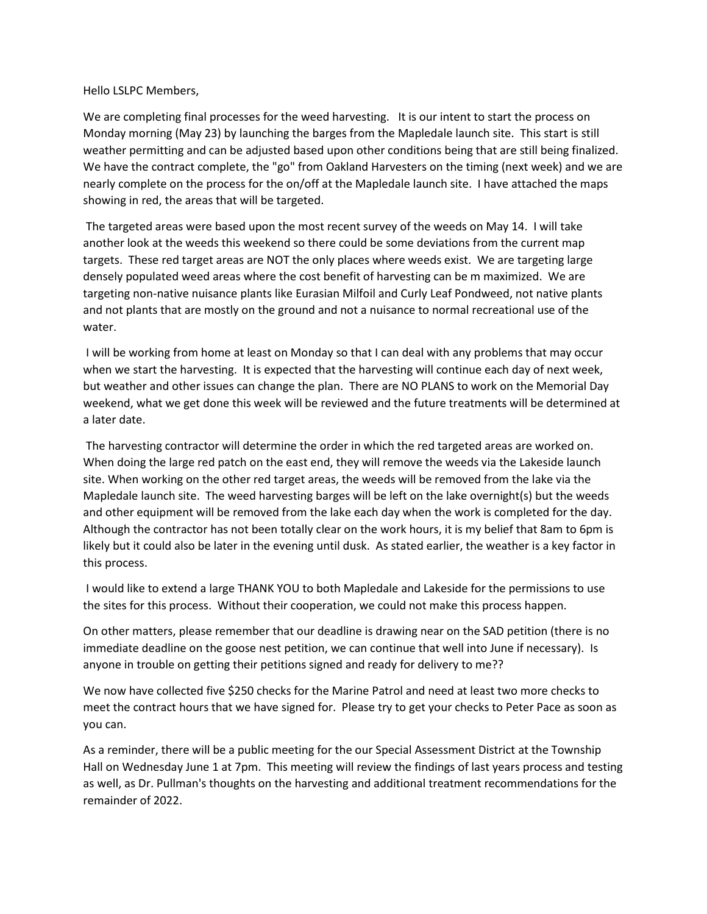Hello LSLPC Members,

We are completing final processes for the weed harvesting. It is our intent to start the process on Monday morning (May 23) by launching the barges from the Mapledale launch site. This start is still weather permitting and can be adjusted based upon other conditions being that are still being finalized. We have the contract complete, the "go" from Oakland Harvesters on the timing (next week) and we are nearly complete on the process for the on/off at the Mapledale launch site. I have attached the maps showing in red, the areas that will be targeted.

The targeted areas were based upon the most recent survey of the weeds on May 14. I will take another look at the weeds this weekend so there could be some deviations from the current map targets. These red target areas are NOT the only places where weeds exist. We are targeting large densely populated weed areas where the cost benefit of harvesting can be m maximized. We are targeting non-native nuisance plants like Eurasian Milfoil and Curly Leaf Pondweed, not native plants and not plants that are mostly on the ground and not a nuisance to normal recreational use of the water.

I will be working from home at least on Monday so that I can deal with any problems that may occur when we start the harvesting. It is expected that the harvesting will continue each day of next week, but weather and other issues can change the plan. There are NO PLANS to work on the Memorial Day weekend, what we get done this week will be reviewed and the future treatments will be determined at a later date.

The harvesting contractor will determine the order in which the red targeted areas are worked on. When doing the large red patch on the east end, they will remove the weeds via the Lakeside launch site. When working on the other red target areas, the weeds will be removed from the lake via the Mapledale launch site. The weed harvesting barges will be left on the lake overnight(s) but the weeds and other equipment will be removed from the lake each day when the work is completed for the day. Although the contractor has not been totally clear on the work hours, it is my belief that 8am to 6pm is likely but it could also be later in the evening until dusk. As stated earlier, the weather is a key factor in this process.

I would like to extend a large THANK YOU to both Mapledale and Lakeside for the permissions to use the sites for this process. Without their cooperation, we could not make this process happen.

On other matters, please remember that our deadline is drawing near on the SAD petition (there is no immediate deadline on the goose nest petition, we can continue that well into June if necessary). Is anyone in trouble on getting their petitions signed and ready for delivery to me??

We now have collected five \$250 checks for the Marine Patrol and need at least two more checks to meet the contract hours that we have signed for. Please try to get your checks to Peter Pace as soon as you can.

As a reminder, there will be a public meeting for the our Special Assessment District at the Township Hall on Wednesday June 1 at 7pm. This meeting will review the findings of last years process and testing as well, as Dr. Pullman's thoughts on the harvesting and additional treatment recommendations for the remainder of 2022.